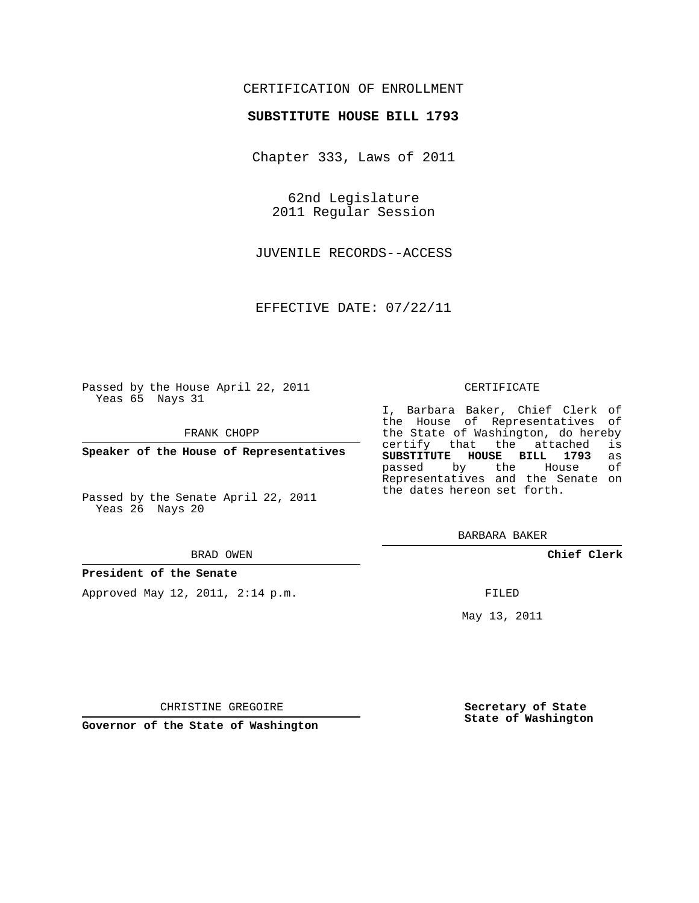## CERTIFICATION OF ENROLLMENT

### **SUBSTITUTE HOUSE BILL 1793**

Chapter 333, Laws of 2011

62nd Legislature 2011 Regular Session

JUVENILE RECORDS--ACCESS

EFFECTIVE DATE: 07/22/11

Passed by the House April 22, 2011 Yeas 65 Nays 31

FRANK CHOPP

**Speaker of the House of Representatives**

Passed by the Senate April 22, 2011 Yeas 26 Nays 20

#### BRAD OWEN

### **President of the Senate**

Approved May 12, 2011, 2:14 p.m.

#### CERTIFICATE

I, Barbara Baker, Chief Clerk of the House of Representatives of the State of Washington, do hereby<br>certify that the attached is certify that the attached **SUBSTITUTE HOUSE BILL 1793** as passed by the Representatives and the Senate on the dates hereon set forth.

BARBARA BAKER

**Chief Clerk**

FILED

May 13, 2011

**Secretary of State State of Washington**

CHRISTINE GREGOIRE

**Governor of the State of Washington**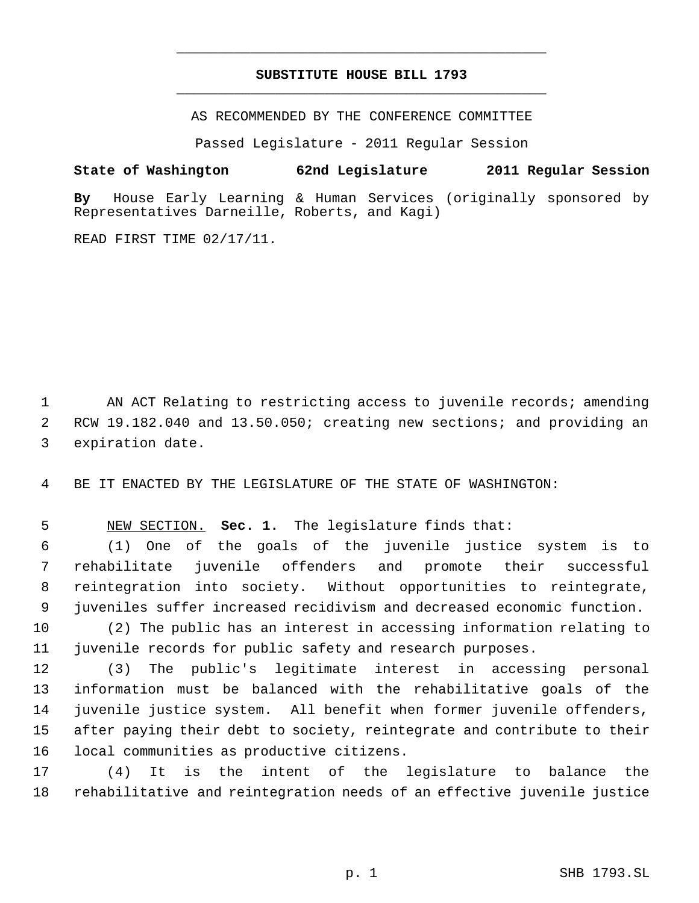# **SUBSTITUTE HOUSE BILL 1793** \_\_\_\_\_\_\_\_\_\_\_\_\_\_\_\_\_\_\_\_\_\_\_\_\_\_\_\_\_\_\_\_\_\_\_\_\_\_\_\_\_\_\_\_\_

\_\_\_\_\_\_\_\_\_\_\_\_\_\_\_\_\_\_\_\_\_\_\_\_\_\_\_\_\_\_\_\_\_\_\_\_\_\_\_\_\_\_\_\_\_

AS RECOMMENDED BY THE CONFERENCE COMMITTEE

Passed Legislature - 2011 Regular Session

**State of Washington 62nd Legislature 2011 Regular Session By** House Early Learning & Human Services (originally sponsored by Representatives Darneille, Roberts, and Kagi)

READ FIRST TIME 02/17/11.

1 AN ACT Relating to restricting access to juvenile records; amending RCW 19.182.040 and 13.50.050; creating new sections; and providing an expiration date.

BE IT ENACTED BY THE LEGISLATURE OF THE STATE OF WASHINGTON:

NEW SECTION. **Sec. 1.** The legislature finds that:

 (1) One of the goals of the juvenile justice system is to rehabilitate juvenile offenders and promote their successful reintegration into society. Without opportunities to reintegrate, juveniles suffer increased recidivism and decreased economic function.

 (2) The public has an interest in accessing information relating to juvenile records for public safety and research purposes.

 (3) The public's legitimate interest in accessing personal information must be balanced with the rehabilitative goals of the juvenile justice system. All benefit when former juvenile offenders, after paying their debt to society, reintegrate and contribute to their local communities as productive citizens.

 (4) It is the intent of the legislature to balance the rehabilitative and reintegration needs of an effective juvenile justice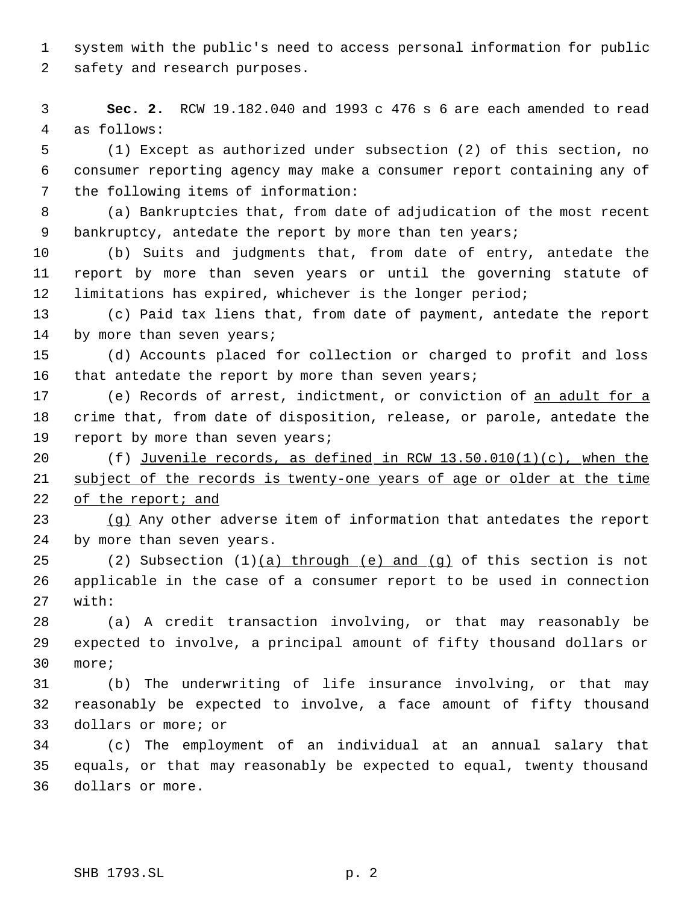system with the public's need to access personal information for public safety and research purposes.

 **Sec. 2.** RCW 19.182.040 and 1993 c 476 s 6 are each amended to read as follows:

 (1) Except as authorized under subsection (2) of this section, no consumer reporting agency may make a consumer report containing any of the following items of information:

 (a) Bankruptcies that, from date of adjudication of the most recent bankruptcy, antedate the report by more than ten years;

 (b) Suits and judgments that, from date of entry, antedate the report by more than seven years or until the governing statute of limitations has expired, whichever is the longer period;

 (c) Paid tax liens that, from date of payment, antedate the report 14 by more than seven years;

 (d) Accounts placed for collection or charged to profit and loss 16 that antedate the report by more than seven years;

 (e) Records of arrest, indictment, or conviction of an adult for a crime that, from date of disposition, release, or parole, antedate the 19 report by more than seven years;

20  $(f)$  Juvenile records, as defined in RCW 13.50.010(1)(c), when the subject of the records is twenty-one years of age or older at the time of the report; and

 (g) Any other adverse item of information that antedates the report by more than seven years.

25 (2) Subsection  $(1)(a)$  through  $(e)$  and  $(q)$  of this section is not applicable in the case of a consumer report to be used in connection with:

 (a) A credit transaction involving, or that may reasonably be expected to involve, a principal amount of fifty thousand dollars or more;

 (b) The underwriting of life insurance involving, or that may reasonably be expected to involve, a face amount of fifty thousand dollars or more; or

 (c) The employment of an individual at an annual salary that equals, or that may reasonably be expected to equal, twenty thousand dollars or more.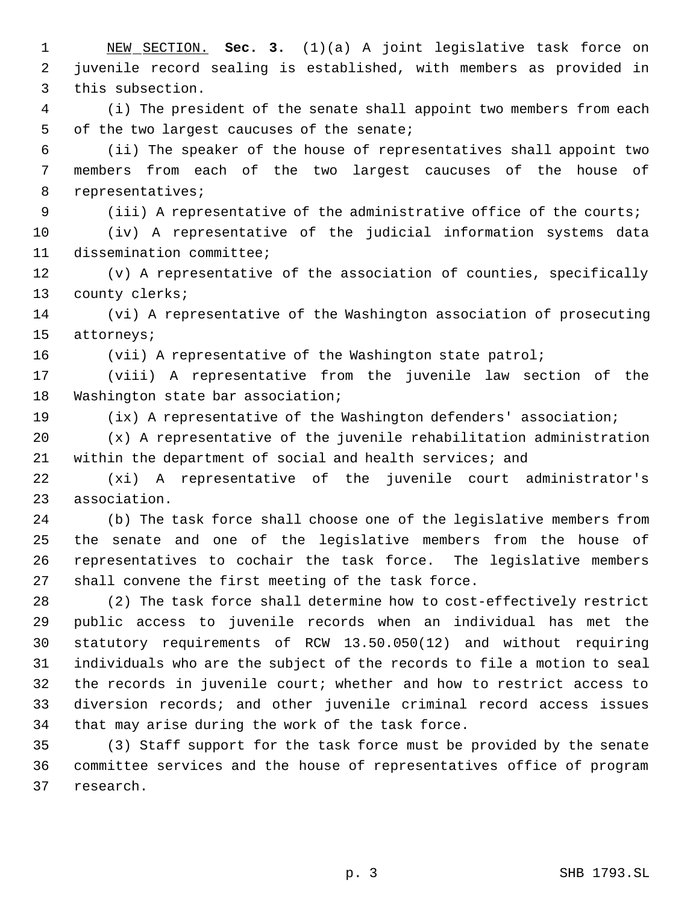NEW SECTION. **Sec. 3.** (1)(a) A joint legislative task force on juvenile record sealing is established, with members as provided in this subsection.

 (i) The president of the senate shall appoint two members from each of the two largest caucuses of the senate;

 (ii) The speaker of the house of representatives shall appoint two members from each of the two largest caucuses of the house of representatives;

(iii) A representative of the administrative office of the courts;

 (iv) A representative of the judicial information systems data dissemination committee;

 (v) A representative of the association of counties, specifically county clerks;

 (vi) A representative of the Washington association of prosecuting attorneys;

16 (vii) A representative of the Washington state patrol;

 (viii) A representative from the juvenile law section of the Washington state bar association;

(ix) A representative of the Washington defenders' association;

 (x) A representative of the juvenile rehabilitation administration within the department of social and health services; and

 (xi) A representative of the juvenile court administrator's association.

 (b) The task force shall choose one of the legislative members from the senate and one of the legislative members from the house of representatives to cochair the task force. The legislative members shall convene the first meeting of the task force.

 (2) The task force shall determine how to cost-effectively restrict public access to juvenile records when an individual has met the statutory requirements of RCW 13.50.050(12) and without requiring individuals who are the subject of the records to file a motion to seal the records in juvenile court; whether and how to restrict access to diversion records; and other juvenile criminal record access issues that may arise during the work of the task force.

 (3) Staff support for the task force must be provided by the senate committee services and the house of representatives office of program research.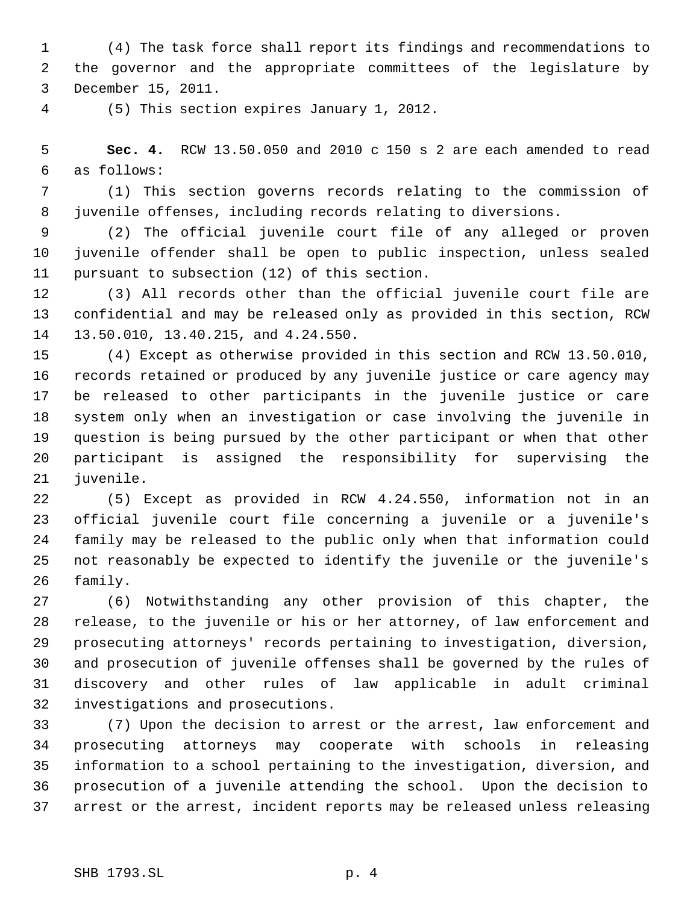(4) The task force shall report its findings and recommendations to the governor and the appropriate committees of the legislature by December 15, 2011.

(5) This section expires January 1, 2012.

 **Sec. 4.** RCW 13.50.050 and 2010 c 150 s 2 are each amended to read as follows:

 (1) This section governs records relating to the commission of juvenile offenses, including records relating to diversions.

 (2) The official juvenile court file of any alleged or proven juvenile offender shall be open to public inspection, unless sealed pursuant to subsection (12) of this section.

 (3) All records other than the official juvenile court file are confidential and may be released only as provided in this section, RCW 13.50.010, 13.40.215, and 4.24.550.

 (4) Except as otherwise provided in this section and RCW 13.50.010, records retained or produced by any juvenile justice or care agency may be released to other participants in the juvenile justice or care system only when an investigation or case involving the juvenile in question is being pursued by the other participant or when that other participant is assigned the responsibility for supervising the juvenile.

 (5) Except as provided in RCW 4.24.550, information not in an official juvenile court file concerning a juvenile or a juvenile's family may be released to the public only when that information could not reasonably be expected to identify the juvenile or the juvenile's family.

 (6) Notwithstanding any other provision of this chapter, the release, to the juvenile or his or her attorney, of law enforcement and prosecuting attorneys' records pertaining to investigation, diversion, and prosecution of juvenile offenses shall be governed by the rules of discovery and other rules of law applicable in adult criminal investigations and prosecutions.

 (7) Upon the decision to arrest or the arrest, law enforcement and prosecuting attorneys may cooperate with schools in releasing information to a school pertaining to the investigation, diversion, and prosecution of a juvenile attending the school. Upon the decision to arrest or the arrest, incident reports may be released unless releasing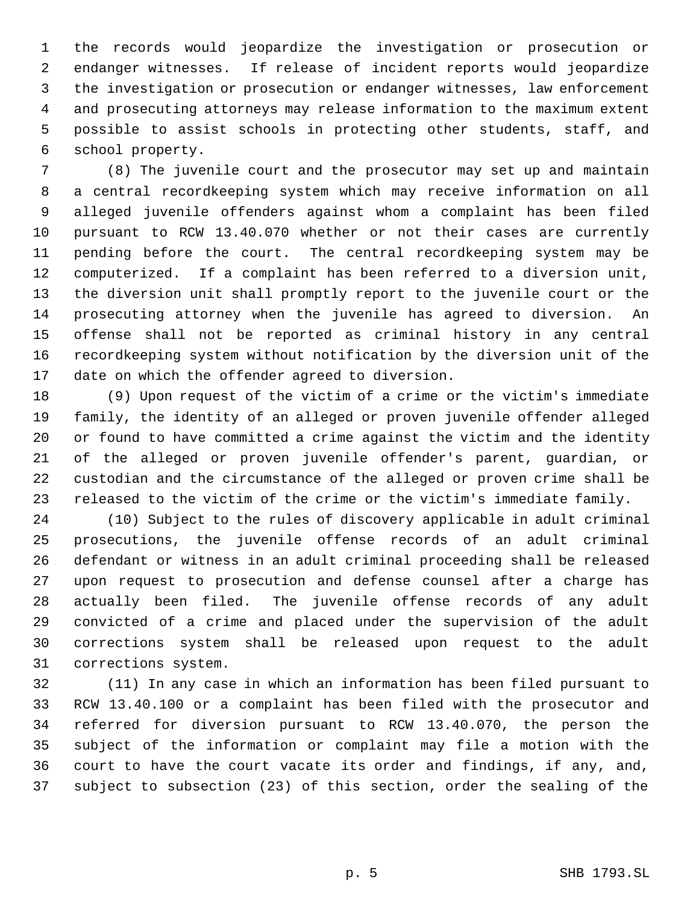the records would jeopardize the investigation or prosecution or endanger witnesses. If release of incident reports would jeopardize the investigation or prosecution or endanger witnesses, law enforcement and prosecuting attorneys may release information to the maximum extent possible to assist schools in protecting other students, staff, and school property.

 (8) The juvenile court and the prosecutor may set up and maintain a central recordkeeping system which may receive information on all alleged juvenile offenders against whom a complaint has been filed pursuant to RCW 13.40.070 whether or not their cases are currently pending before the court. The central recordkeeping system may be computerized. If a complaint has been referred to a diversion unit, the diversion unit shall promptly report to the juvenile court or the prosecuting attorney when the juvenile has agreed to diversion. An offense shall not be reported as criminal history in any central recordkeeping system without notification by the diversion unit of the date on which the offender agreed to diversion.

 (9) Upon request of the victim of a crime or the victim's immediate family, the identity of an alleged or proven juvenile offender alleged or found to have committed a crime against the victim and the identity of the alleged or proven juvenile offender's parent, guardian, or custodian and the circumstance of the alleged or proven crime shall be released to the victim of the crime or the victim's immediate family.

 (10) Subject to the rules of discovery applicable in adult criminal prosecutions, the juvenile offense records of an adult criminal defendant or witness in an adult criminal proceeding shall be released upon request to prosecution and defense counsel after a charge has actually been filed. The juvenile offense records of any adult convicted of a crime and placed under the supervision of the adult corrections system shall be released upon request to the adult corrections system.

 (11) In any case in which an information has been filed pursuant to RCW 13.40.100 or a complaint has been filed with the prosecutor and referred for diversion pursuant to RCW 13.40.070, the person the subject of the information or complaint may file a motion with the court to have the court vacate its order and findings, if any, and, subject to subsection (23) of this section, order the sealing of the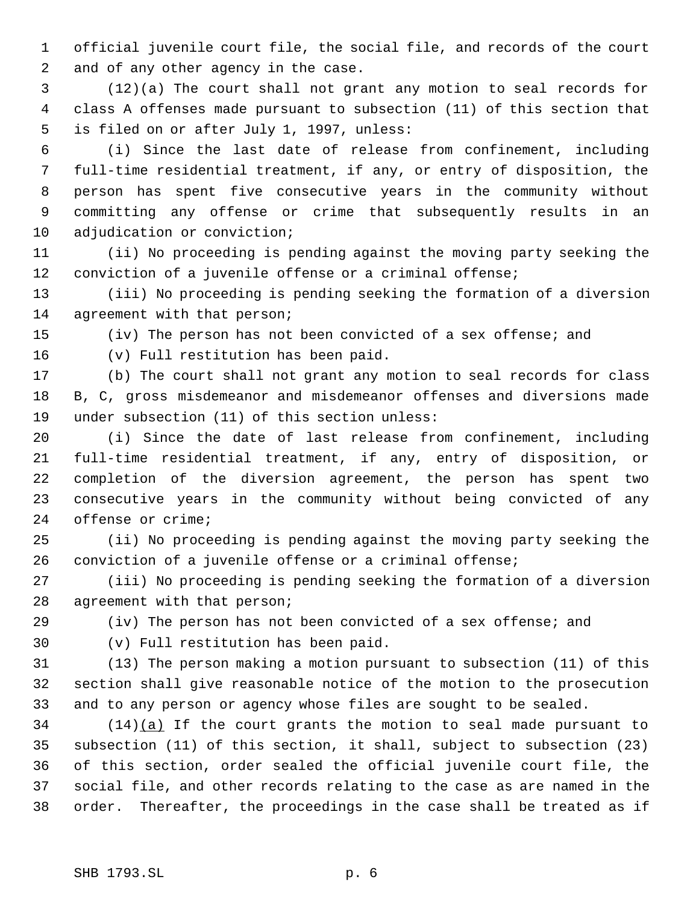official juvenile court file, the social file, and records of the court and of any other agency in the case.

 (12)(a) The court shall not grant any motion to seal records for class A offenses made pursuant to subsection (11) of this section that is filed on or after July 1, 1997, unless:

 (i) Since the last date of release from confinement, including full-time residential treatment, if any, or entry of disposition, the person has spent five consecutive years in the community without committing any offense or crime that subsequently results in an adjudication or conviction;

 (ii) No proceeding is pending against the moving party seeking the conviction of a juvenile offense or a criminal offense;

 (iii) No proceeding is pending seeking the formation of a diversion 14 agreement with that person;

(iv) The person has not been convicted of a sex offense; and

(v) Full restitution has been paid.

 (b) The court shall not grant any motion to seal records for class B, C, gross misdemeanor and misdemeanor offenses and diversions made under subsection (11) of this section unless:

 (i) Since the date of last release from confinement, including full-time residential treatment, if any, entry of disposition, or completion of the diversion agreement, the person has spent two consecutive years in the community without being convicted of any offense or crime;

 (ii) No proceeding is pending against the moving party seeking the conviction of a juvenile offense or a criminal offense;

 (iii) No proceeding is pending seeking the formation of a diversion agreement with that person;

(iv) The person has not been convicted of a sex offense; and

(v) Full restitution has been paid.

 (13) The person making a motion pursuant to subsection (11) of this section shall give reasonable notice of the motion to the prosecution and to any person or agency whose files are sought to be sealed.

 (14)(a) If the court grants the motion to seal made pursuant to subsection (11) of this section, it shall, subject to subsection (23) of this section, order sealed the official juvenile court file, the social file, and other records relating to the case as are named in the order. Thereafter, the proceedings in the case shall be treated as if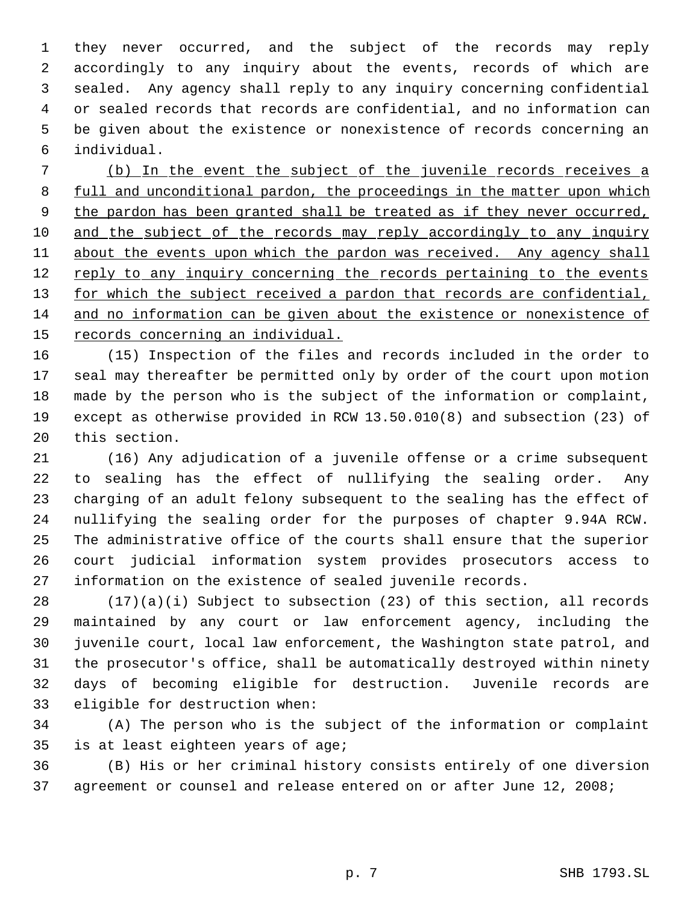they never occurred, and the subject of the records may reply accordingly to any inquiry about the events, records of which are sealed. Any agency shall reply to any inquiry concerning confidential or sealed records that records are confidential, and no information can be given about the existence or nonexistence of records concerning an individual.

 (b) In the event the subject of the juvenile records receives a 8 full and unconditional pardon, the proceedings in the matter upon which 9 the pardon has been granted shall be treated as if they never occurred, 10 and the subject of the records may reply accordingly to any inquiry about the events upon which the pardon was received. Any agency shall 12 reply to any inquiry concerning the records pertaining to the events 13 for which the subject received a pardon that records are confidential, and no information can be given about the existence or nonexistence of records concerning an individual.

 (15) Inspection of the files and records included in the order to seal may thereafter be permitted only by order of the court upon motion made by the person who is the subject of the information or complaint, except as otherwise provided in RCW 13.50.010(8) and subsection (23) of this section.

 (16) Any adjudication of a juvenile offense or a crime subsequent to sealing has the effect of nullifying the sealing order. Any charging of an adult felony subsequent to the sealing has the effect of nullifying the sealing order for the purposes of chapter 9.94A RCW. The administrative office of the courts shall ensure that the superior court judicial information system provides prosecutors access to information on the existence of sealed juvenile records.

 (17)(a)(i) Subject to subsection (23) of this section, all records maintained by any court or law enforcement agency, including the juvenile court, local law enforcement, the Washington state patrol, and the prosecutor's office, shall be automatically destroyed within ninety days of becoming eligible for destruction. Juvenile records are eligible for destruction when:

 (A) The person who is the subject of the information or complaint is at least eighteen years of age;

 (B) His or her criminal history consists entirely of one diversion agreement or counsel and release entered on or after June 12, 2008;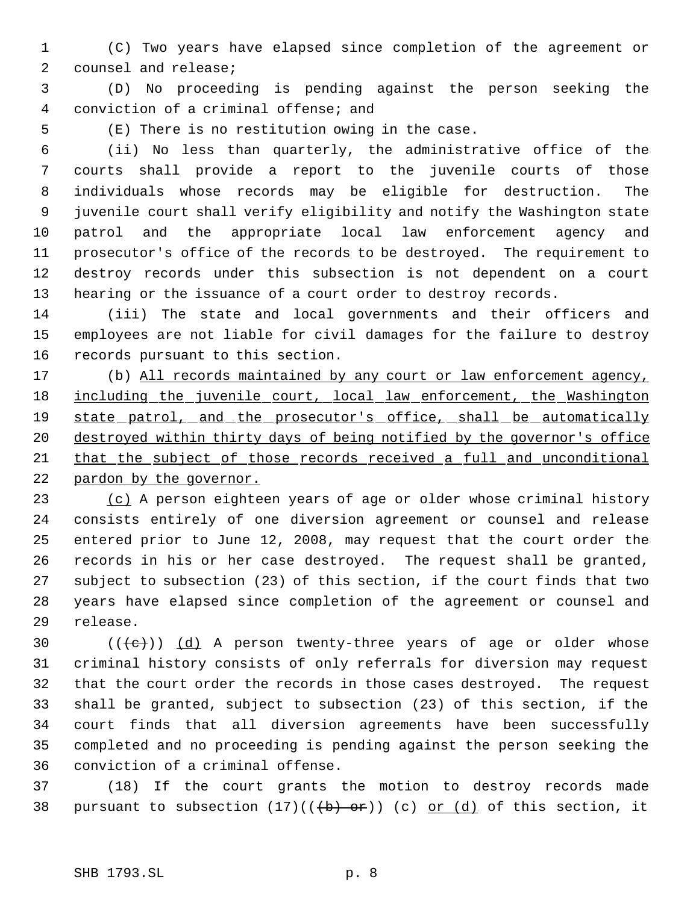(C) Two years have elapsed since completion of the agreement or counsel and release;

 (D) No proceeding is pending against the person seeking the conviction of a criminal offense; and

(E) There is no restitution owing in the case.

 (ii) No less than quarterly, the administrative office of the courts shall provide a report to the juvenile courts of those individuals whose records may be eligible for destruction. The juvenile court shall verify eligibility and notify the Washington state patrol and the appropriate local law enforcement agency and prosecutor's office of the records to be destroyed. The requirement to destroy records under this subsection is not dependent on a court hearing or the issuance of a court order to destroy records.

 (iii) The state and local governments and their officers and employees are not liable for civil damages for the failure to destroy records pursuant to this section.

 (b) All records maintained by any court or law enforcement agency, 18 including the juvenile court, local law enforcement, the Washington 19 state patrol, and the prosecutor's office, shall be automatically destroyed within thirty days of being notified by the governor's office that the subject of those records received a full and unconditional pardon by the governor.

 (c) A person eighteen years of age or older whose criminal history consists entirely of one diversion agreement or counsel and release entered prior to June 12, 2008, may request that the court order the records in his or her case destroyed. The request shall be granted, subject to subsection (23) of this section, if the court finds that two years have elapsed since completion of the agreement or counsel and release.

 $((+e))$   $(d)$  A person twenty-three years of age or older whose criminal history consists of only referrals for diversion may request that the court order the records in those cases destroyed. The request shall be granted, subject to subsection (23) of this section, if the court finds that all diversion agreements have been successfully completed and no proceeding is pending against the person seeking the conviction of a criminal offense.

 (18) If the court grants the motion to destroy records made 38 pursuant to subsection  $(17)((+b)$  or)) (c) or  $(d)$  of this section, it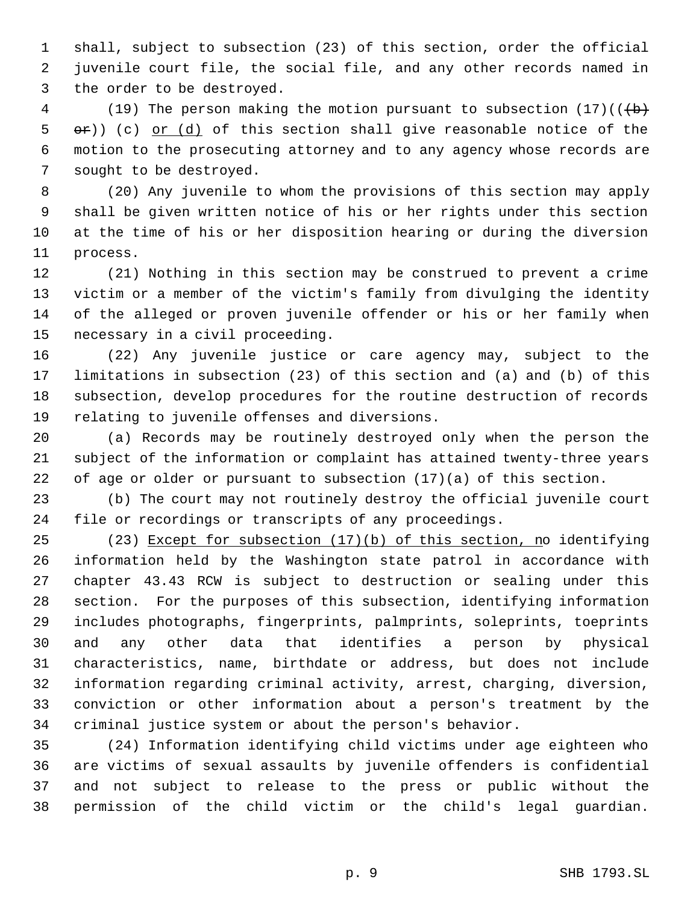shall, subject to subsection (23) of this section, order the official juvenile court file, the social file, and any other records named in the order to be destroyed.

4 (19) The person making the motion pursuant to subsection  $(17)((+)$  $\Theta$   $\Theta$ )) (c) <u>or (d)</u> of this section shall give reasonable notice of the motion to the prosecuting attorney and to any agency whose records are sought to be destroyed.

 (20) Any juvenile to whom the provisions of this section may apply shall be given written notice of his or her rights under this section at the time of his or her disposition hearing or during the diversion process.

 (21) Nothing in this section may be construed to prevent a crime victim or a member of the victim's family from divulging the identity of the alleged or proven juvenile offender or his or her family when necessary in a civil proceeding.

 (22) Any juvenile justice or care agency may, subject to the limitations in subsection (23) of this section and (a) and (b) of this subsection, develop procedures for the routine destruction of records relating to juvenile offenses and diversions.

 (a) Records may be routinely destroyed only when the person the subject of the information or complaint has attained twenty-three years of age or older or pursuant to subsection (17)(a) of this section.

 (b) The court may not routinely destroy the official juvenile court file or recordings or transcripts of any proceedings.

 (23) Except for subsection (17)(b) of this section, no identifying information held by the Washington state patrol in accordance with chapter 43.43 RCW is subject to destruction or sealing under this section. For the purposes of this subsection, identifying information includes photographs, fingerprints, palmprints, soleprints, toeprints and any other data that identifies a person by physical characteristics, name, birthdate or address, but does not include information regarding criminal activity, arrest, charging, diversion, conviction or other information about a person's treatment by the criminal justice system or about the person's behavior.

 (24) Information identifying child victims under age eighteen who are victims of sexual assaults by juvenile offenders is confidential and not subject to release to the press or public without the permission of the child victim or the child's legal guardian.